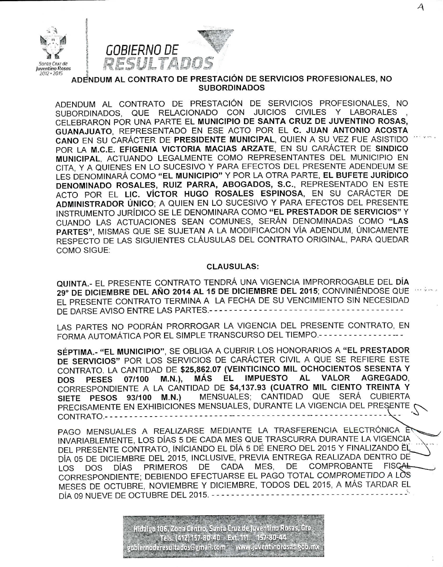



ADENDUM AL CONTRATO DE PRESTACIÓN DE SERVICIOS PROFESIONALES, NO **SUBORDINADOS** 

ADENDUM AL CONTRATO DE PRESTACIÓN DE SERVICIOS PROFESIONALES. NO SUBORDINADOS, QUE RELACIONADO CON JUICIOS CIVILES Y LABORALES CELEBRARON POR UNA PARTE EL MUNICIPIO DE SANTA CRUZ DE JUVENTINO ROSAS. GUANAJUATO, REPRESENTADO EN ESE ACTO POR EL C. JUAN ANTONIO ACOSTA CANO EN SU CARÁCTER DE PRESIDENTE MUNICIPAL, QUIEN A SU VEZ FUE ASISTIDO POR LA M.C.E. EFIGENIA VICTORIA MACIAS ARZATE, EN SU CARÁCTER DE SINDICO MUNICIPAL, ACTUANDO LEGALMENTE COMO REPRESENTANTES DEL MUNICIPIO EN CITA, Y A QUIENES EN LO SUCESIVO Y PARA EFECTOS DEL PRESENTE ADENDEUM SE LES DENOMINARÁ COMO "EL MUNICIPIO" Y POR LA OTRA PARTE, EL BUFETE JURÍDICO DENOMINADO ROSALES, RUIZ PARRA, ABOGADOS, S.C., REPRESENTADO EN ESTE ACTO POR EL LIC. VÍCTOR HUGO ROSALES ESPINOSA, EN SU CARÁCTER DE ADMINISTRADOR ÚNICO; A QUIEN EN LO SUCESIVO Y PARA EFECTOS DEL PRESENTE INSTRUMENTO JURÍDICO SE LE DENOMINARA COMO "EL PRESTADOR DE SERVICIOS" Y CUANDO LAS ACTUACIONES SEAN COMUNES, SERÁN DENOMINADAS COMO "LAS PARTES", MISMAS QUE SE SUJETAN A LA MODIFICACION VÍA ADENDUM, ÚNICAMENTE RESPECTO DE LAS SIGUIENTES CLÁUSULAS DEL CONTRATO ORIGINAL. PARA QUEDAR **COMO SIGUE:** 

## **CLAUSULAS:**

QUINTA.- EL PRESENTE CONTRATO TENDRÁ UNA VIGENCIA IMPRORROGABLE DEL DÍA 29° DE DICIEMBRE DEL AÑO 2014 AL 15 DE DICIEMBRE DEL 2015; CONVINIÉNDOSE QUE EL PRESENTE CONTRATO TERMINA A LA FECHA DE SU VENCIMIENTO SIN NECESIDAD DE DARSE AVISO ENTRE LAS PARTES.----------------

LAS PARTES NO PODRÁN PRORROGAR LA VIGENCIA DEL PRESENTE CONTRATO. EN FORMA AUTOMÁTICA POR EL SIMPLE TRANSCURSO DEL TIEMPO .- - - - - - - - - - -

SÉPTIMA.- "EL MUNICIPIO", SE OBLIGA A CUBRIR LOS HONORARIOS A "EL PRESTADOR DE SERVICIOS" POR LOS SERVICIOS DE CARÁCTER CIVIL A QUE SE REFIERE ESTE CONTRATO. LA CANTIDAD DE \$25,862.07 (VEINTICINCO MIL OCHOCIENTOS SESENTA Y MÁS EL IMPUESTO AL VALOR **AGREGADO.** 07/100 M.N.). **PESES DOS** CORRESPONDIENTE A LA CANTIDAD DE \$4,137.93 (CUATRO MIL CIENTO TREINTA Y MENSUALES; CANTIDAD QUE SERÁ CUBIERTA SIETE PESOS 93/100 M.N.) PRECISAMENTE EN EXHIBICIONES MENSUALES, DURANTE LA VIGENCIA DEL PRESENTE 

PAGO MENSUALES A REALIZARSE MEDIANTE LA TRASFERENCIA ELECTRÓNICA INVARIABLEMENTE, LOS DÍAS 5 DE CADA MES QUE TRASCURRA DURANTE LA VIGENCIA DEL PRESENTE CONTRATO, INICIANDO EL DÍA 5 DE ENERO DEL 2015 Y FINALIZANDO EL DÍA 05 DE DICIEMBRE DEL 2015, INCLUSIVE, PREVIA ENTREGA REALIZADA DENTRO DE DE COMPROBANTE **FISCAL** PRIMEROS DE CADA MES, DÍAS LOS **DOS** CORRESPONDIENTE; DEBIENDO EFECTUARSE EL PAGO TOTAL COMPROMETIDO A LOS MESES DE OCTUBRE, NOVIEMBRE Y DICIEMBRE, TODOS DEL 2015, A MÁS TARDAR EL DÍA 09 NUEVE DE OCTUBRE DEL 2015. - - - - - -

> lidaigo 106, Zona Centro, Santa Cruz de Juventino Rosas, Gto Tels. (412) 157-30-40 - Ext. 111 157-80-44 obiem oderes ultados @gmail.com ; www.juventinorosas.gob.mx